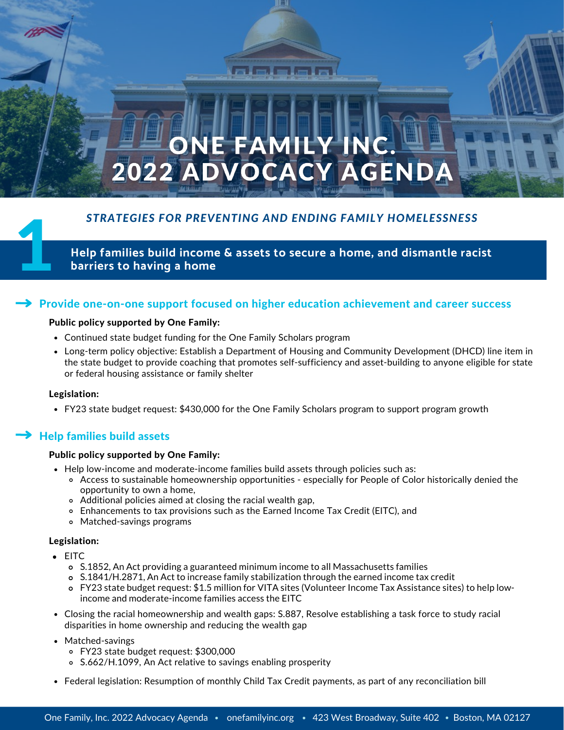# **ONE FAMILY IN** 2022 ADVOCACY AGENDA

# *STRATEGIES FOR PREVENTING AND ENDING FAMILY HOMELESSNESS*

Help families build income & assets to secure a home, and dismantle racist<br>barriers to having a home

# Provide one-on-one support focused on higher education achievement and career success

### Public policy supported by One Family:

- Continued state budget funding for the One Family Scholars program
- Long-term policy objective: Establish a Department of Housing and Community Development (DHCD) line item in the state budget to provide coaching that promotes self-sufficiency and asset-building to anyone eligible for state or federal housing assistance or family shelter

### Legislation:

FY23 state budget request: \$430,000 for the One Family Scholars program to support program growth

# Help families build assets

### Public policy supported by One Family:

- Help low-income and moderate-income families build assets through policies such as:
	- Access to sustainable homeownership opportunities especially for People of Color historically denied the opportunity to own a home,
	- Additional policies aimed at closing the racial wealth gap,
	- Enhancements to tax provisions such as the Earned Income Tax Credit (EITC), and
	- Matched-savings programs

### Legislation:

- EITC
	- [S.1852](https://malegislature.gov/Bills/192/S1852), An Act providing a guaranteed minimum income to all Massachusetts families
	- [S.1841](https://malegislature.gov/Bills/192/S1841)/[H.2871,](https://malegislature.gov/Bills/192/H2871) An Act to increase family stabilization through the earned income tax credit
	- FY23 state budget request: \$1.5 million for VITA sites (Volunteer Income Tax Assistance sites) to help lowincome and moderate-income families access the EITC
- Closing the racial homeownership and wealth gaps: [S.887,](https://malegislature.gov/Bills/192/S887) Resolve establishing a task force to study racial disparities in home ownership and reducing the wealth gap
- Matched-savings
	- FY23 state budget request: \$300,000
	- [S.662/](https://malegislature.gov/Bills/192/S662)[H.1099](https://malegislature.gov/Bills/192/H1099), An Act relative to savings enabling prosperity
- Federal legislation: Resumption of monthly Child Tax Credit payments, as part of any reconciliation bill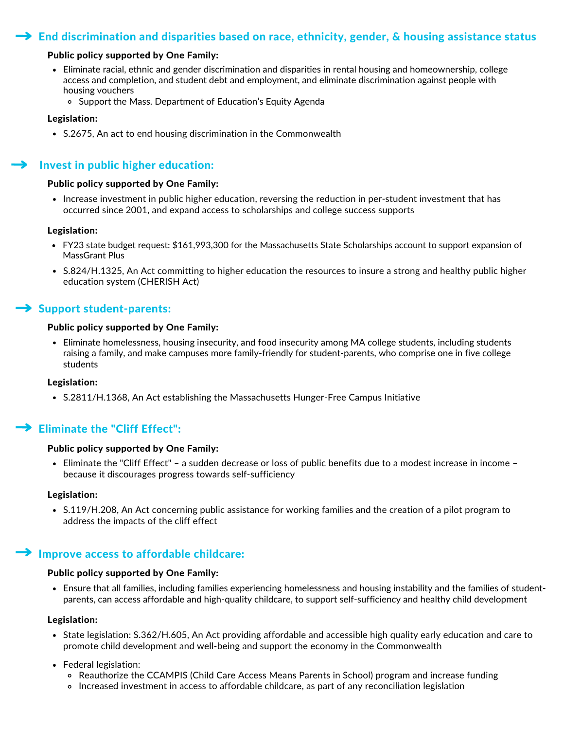# $\rightarrow$  End discrimination and disparities based on race, ethnicity, gender, & housing assistance status

### Public policy supported by One Family:

- Eliminate racial, ethnic and gender discrimination and disparities in rental housing and homeownership, college access and completion, and student debt and employment, and eliminate discrimination against people with housing vouchers
	- o Support the Mass. Department of Education's Equity [Agenda](https://www.mass.edu/strategic/equity.asp)

### Legislation:

• S.2675, An act to end housing discrimination in the Commonwealth

# Invest in public higher education:

### Public policy supported by One Family:

• Increase investment in public higher education, reversing the reduction in per-student investment that has occurred since 2001, and expand access to scholarships and college success supports

### Legislation:

- FY23 state budget request: \$161,993,300 for the Massachusetts State Scholarships account to support expansion of MassGrant Plus
- [S.824](https://malegislature.gov/Bills/192/S824)/[H.1325,](https://malegislature.gov/Bills/192/H1325) An Act committing to higher education the resources to insure a strong and healthy public higher education system (CHERISH Act)

### $\rightarrow$  Support student-parents:

### Public policy supported by One Family:

Eliminate homelessness, housing insecurity, and food insecurity among MA college students, including students raising a family, and make campuses more family-friendly for student-parents, who comprise one in five college students

### Legislation:

[S.2811](https://malegislature.gov/Bills/192/S822)/[H.1368,](https://malegislature.gov/Bills/192/H1368) An Act establishing the Massachusetts Hunger-Free Campus Initiative

# $\blacktriangleright$  Eliminate the "Cliff Effect":

### Public policy supported by One Family:

Eliminate the "Cliff Effect" – a sudden decrease or loss of public benefits due to a modest increase in income – because it discourages progress towards self-sufficiency

### Legislation:

[S.119/H.208,](https://malegislature.gov/Bills/192/S822) An Act concerning public assistance for working families and the creation of a pilot program to address the impacts of the cliff effect

# Improve access to affordable childcare:

### Public policy supported by One Family:

Ensure that all families, including families experiencing homelessness and housing instability and the families of studentparents, can access affordable and high-quality childcare, to support self-sufficiency and healthy child development

#### Legislation:

- State legislation: S.362/H.605, An Act providing affordable and accessible high quality early education and care to promote child development and well-being and support the economy in the [Commonwealth](https://malegislature.gov/Bills/192/S822)
- Federal [legislation:](https://malegislature.gov/Bills/192/S822)
	- [Reauthorize](https://malegislature.gov/Bills/192/S822) the CCAMPIS (Child Care Access Means Parents in School) program and increase funding
	- Increased investment in access to affordable childcare, as part of any [reconciliation](https://malegislature.gov/Bills/192/S822) legislation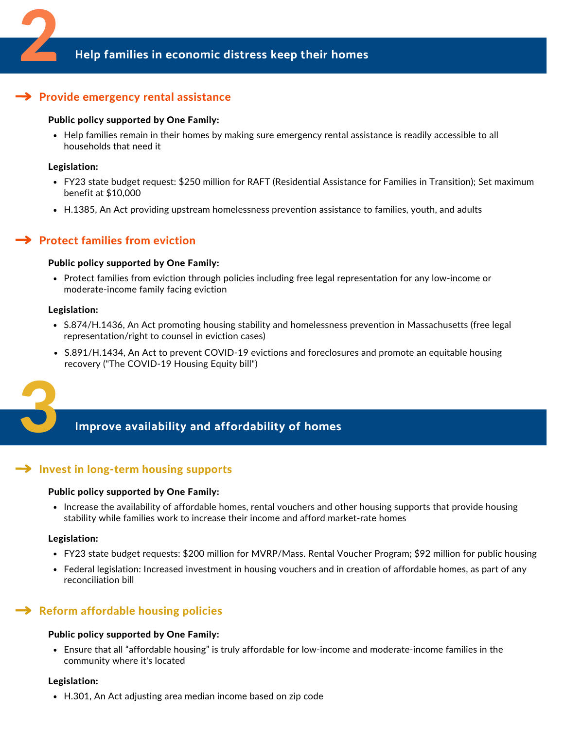# $\rightarrow$  Provide emergency rental assistance

### Public policy supported by One Family:

Help families remain in their homes by making sure emergency rental assistance is readily accessible to all households that need it

### Legislation:

- FY23 state budget request: \$250 million for RAFT (Residential Assistance for Families in Transition); Set maximum benefit at \$10,000
- [H.1385](https://malegislature.gov/Bills/192/H1385), An Act providing upstream homelessness prevention assistance to families, youth, and adults

# **Protect families from eviction**

### Public policy supported by One Family:

Protect families from eviction through policies including free legal representation for any low-income or moderate-income family facing eviction

### Legislation:

- [S.874/](https://malegislature.gov/Bills/192/S874)[H.1436](https://malegislature.gov/Bills/192/H1436), An Act promoting housing stability and homelessness prevention in Massachusetts (free legal representation/right to counsel in eviction cases)
- [S.891/H.1434,](https://malegislature.gov/Bills/192/H1385) An Act to prevent COVID-19 evictions and foreclosures and promote an equitable housing recovery ("The COVID-19 Housing Equity bill")



# 3 **Improve availability and affordability of homes**

# $\rightarrow$  Invest in long-term housing supports

### Public policy supported by One Family:

• Increase the availability of affordable homes, rental vouchers and other housing supports that provide housing stability while families work to increase their income and afford market-rate homes

### Legislation:

- FY23 state budget requests: \$200 million for MVRP/Mass. Rental Voucher Program; \$92 million for public housing
- Federal legislation: Increased investment in housing vouchers and in creation of affordable homes, as part of any [reconciliation](https://malegislature.gov/Bills/192/H1385) bill

# $\rightarrow$  Reform affordable housing policies

### Public policy supported by One Family:

Ensure that all "affordable housing" is truly affordable for low-income and moderate-income families in the community where it's located

#### Legislation:

[H.301](https://malegislature.gov/Bills/192/H301), An Act adjusting area median income based on zip code